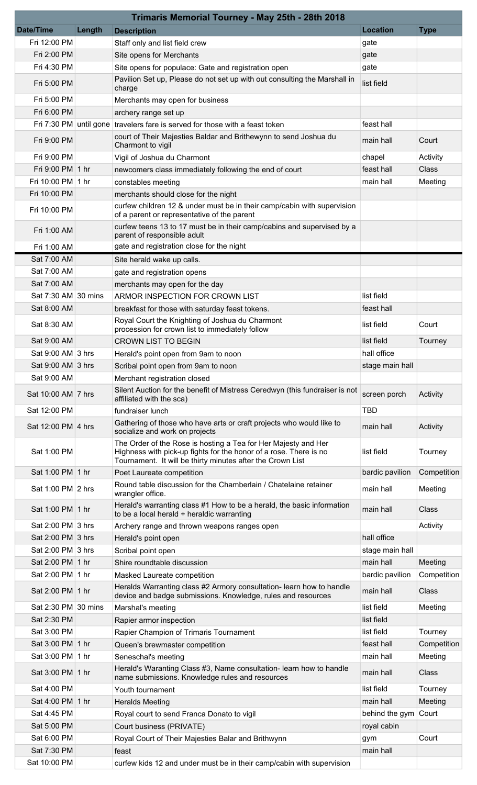| Trimaris Memorial Tourney - May 25th - 28th 2018 |        |                                                                                                                                                                                                   |                        |              |  |  |  |  |
|--------------------------------------------------|--------|---------------------------------------------------------------------------------------------------------------------------------------------------------------------------------------------------|------------------------|--------------|--|--|--|--|
| <b>Date/Time</b>                                 | Length | <b>Description</b>                                                                                                                                                                                | <b>Location</b>        | <b>Type</b>  |  |  |  |  |
| Fri 12:00 PM                                     |        | Staff only and list field crew                                                                                                                                                                    | gate                   |              |  |  |  |  |
| Fri 2:00 PM                                      |        | Site opens for Merchants                                                                                                                                                                          | gate                   |              |  |  |  |  |
| Fri 4:30 PM                                      |        | Site opens for populace: Gate and registration open                                                                                                                                               | gate                   |              |  |  |  |  |
| Fri 5:00 PM                                      |        | Pavilion Set up, Please do not set up with out consulting the Marshall in<br>charge                                                                                                               | list field             |              |  |  |  |  |
| Fri 5:00 PM                                      |        | Merchants may open for business                                                                                                                                                                   |                        |              |  |  |  |  |
| Fri 6:00 PM                                      |        | archery range set up                                                                                                                                                                              |                        |              |  |  |  |  |
|                                                  |        | Fri 7:30 PM until gone travelers fare is served for those with a feast token                                                                                                                      | feast hall             |              |  |  |  |  |
| Fri 9:00 PM                                      |        | court of Their Majesties Baldar and Brithewynn to send Joshua du<br>Charmont to vigil                                                                                                             | main hall              | Court        |  |  |  |  |
| Fri 9:00 PM                                      |        | Vigil of Joshua du Charmont                                                                                                                                                                       | chapel                 | Activity     |  |  |  |  |
| Fri 9:00 PM 1 hr                                 |        | newcomers class immediately following the end of court                                                                                                                                            | feast hall             | <b>Class</b> |  |  |  |  |
| Fri 10:00 PM 1 hr                                |        | constables meeting                                                                                                                                                                                | main hall              | Meeting      |  |  |  |  |
| Fri 10:00 PM                                     |        | merchants should close for the night                                                                                                                                                              |                        |              |  |  |  |  |
| Fri 10:00 PM                                     |        | curfew children 12 & under must be in their camp/cabin with supervision<br>of a parent or representative of the parent                                                                            |                        |              |  |  |  |  |
| Fri 1:00 AM                                      |        | curfew teens 13 to 17 must be in their camp/cabins and supervised by a<br>parent of responsible adult                                                                                             |                        |              |  |  |  |  |
| Fri 1:00 AM                                      |        | gate and registration close for the night                                                                                                                                                         |                        |              |  |  |  |  |
| Sat 7:00 AM                                      |        | Site herald wake up calls.                                                                                                                                                                        |                        |              |  |  |  |  |
| Sat 7:00 AM                                      |        | gate and registration opens                                                                                                                                                                       |                        |              |  |  |  |  |
| Sat 7:00 AM                                      |        | merchants may open for the day                                                                                                                                                                    |                        |              |  |  |  |  |
| Sat 7:30 AM 30 mins                              |        | ARMOR INSPECTION FOR CROWN LIST                                                                                                                                                                   | list field             |              |  |  |  |  |
| Sat 8:00 AM                                      |        | breakfast for those with saturday feast tokens.                                                                                                                                                   | feast hall             |              |  |  |  |  |
| Sat 8:30 AM                                      |        | Royal Court the Knighting of Joshua du Charmont<br>procession for crown list to immediately follow                                                                                                | list field             | Court        |  |  |  |  |
| Sat 9:00 AM                                      |        | <b>CROWN LIST TO BEGIN</b>                                                                                                                                                                        | list field             | Tourney      |  |  |  |  |
| Sat 9:00 AM 3 hrs                                |        | Herald's point open from 9am to noon                                                                                                                                                              | hall office            |              |  |  |  |  |
| Sat 9:00 AM 3 hrs                                |        | Scribal point open from 9am to noon                                                                                                                                                               | stage main hall        |              |  |  |  |  |
| Sat 9:00 AM                                      |        | Merchant registration closed                                                                                                                                                                      |                        |              |  |  |  |  |
| Sat 10:00 AM 7 hrs                               |        | Silent Auction for the benefit of Mistress Ceredwyn (this fundraiser is not<br>affiliated with the sca)                                                                                           | screen porch           | Activity     |  |  |  |  |
| Sat 12:00 PM                                     |        | fundraiser lunch                                                                                                                                                                                  | <b>TBD</b>             |              |  |  |  |  |
| Sat 12:00 PM 4 hrs                               |        | Gathering of those who have arts or craft projects who would like to<br>socialize and work on projects                                                                                            | main hall              | Activity     |  |  |  |  |
| Sat 1:00 PM                                      |        | The Order of the Rose is hosting a Tea for Her Majesty and Her<br>Highness with pick-up fights for the honor of a rose. There is no<br>Tournament. It will be thirty minutes after the Crown List | list field             | Tourney      |  |  |  |  |
| Sat 1:00 PM 1 hr                                 |        | Poet Laureate competition                                                                                                                                                                         | bardic pavilion        | Competition  |  |  |  |  |
|                                                  |        | Round table discussion for the Chamberlain / Chatelaine retainer                                                                                                                                  |                        |              |  |  |  |  |
| Sat 1:00 PM 2 hrs                                |        | wrangler office.<br>Herald's warranting class #1 How to be a herald, the basic information                                                                                                        | main hall              | Meeting      |  |  |  |  |
| Sat 1:00 PM 1 hr                                 |        | to be a local herald + heraldic warranting                                                                                                                                                        | main hall              | <b>Class</b> |  |  |  |  |
| Sat 2:00 PM 3 hrs                                |        | Archery range and thrown weapons ranges open                                                                                                                                                      |                        | Activity     |  |  |  |  |
| Sat 2:00 PM 3 hrs                                |        | Herald's point open                                                                                                                                                                               | hall office            |              |  |  |  |  |
| Sat 2:00 PM 3 hrs                                |        | Scribal point open                                                                                                                                                                                | stage main hall        |              |  |  |  |  |
| Sat 2:00 PM 1 hr                                 |        | Shire roundtable discussion                                                                                                                                                                       | main hall              | Meeting      |  |  |  |  |
| Sat 2:00 PM 1 hr                                 |        | Masked Laureate competition                                                                                                                                                                       | bardic pavilion        | Competition  |  |  |  |  |
| Sat 2:00 PM 1 hr                                 |        | Heralds Warranting class #2 Armory consultation-learn how to handle<br>device and badge submissions. Knowledge, rules and resources                                                               | main hall              | Class        |  |  |  |  |
| Sat 2:30 PM 30 mins                              |        | Marshal's meeting                                                                                                                                                                                 | list field             | Meeting      |  |  |  |  |
| Sat 2:30 PM                                      |        | Rapier armor inspection                                                                                                                                                                           | list field             |              |  |  |  |  |
| Sat 3:00 PM                                      |        | Rapier Champion of Trimaris Tournament                                                                                                                                                            | list field             | Tourney      |  |  |  |  |
| Sat 3:00 PM 1 hr                                 |        | Queen's brewmaster competition                                                                                                                                                                    | feast hall             | Competition  |  |  |  |  |
| Sat 3:00 PM 1 hr                                 |        | Seneschal's meeting                                                                                                                                                                               | main hall              | Meeting      |  |  |  |  |
| Sat 3:00 PM 1 hr                                 |        | Herald's Waranting Class #3, Name consultation-learn how to handle<br>name submissions. Knowledge rules and resources                                                                             | main hall              | <b>Class</b> |  |  |  |  |
| Sat 4:00 PM                                      |        | Youth tournament                                                                                                                                                                                  | list field             | Tourney      |  |  |  |  |
| Sat 4:00 PM 1 hr                                 |        | <b>Heralds Meeting</b>                                                                                                                                                                            | main hall              | Meeting      |  |  |  |  |
| Sat 4:45 PM                                      |        | Royal court to send Franca Donato to vigil                                                                                                                                                        | behind the gym   Court |              |  |  |  |  |
| Sat 5:00 PM                                      |        | Court business (PRIVATE)                                                                                                                                                                          | royal cabin            |              |  |  |  |  |
| Sat 6:00 PM                                      |        | Royal Court of Their Majesties Balar and Brithwynn                                                                                                                                                | gym                    | Court        |  |  |  |  |
| Sat 7:30 PM                                      |        | feast                                                                                                                                                                                             | main hall              |              |  |  |  |  |
| Sat 10:00 PM                                     |        | curfew kids 12 and under must be in their camp/cabin with supervision                                                                                                                             |                        |              |  |  |  |  |